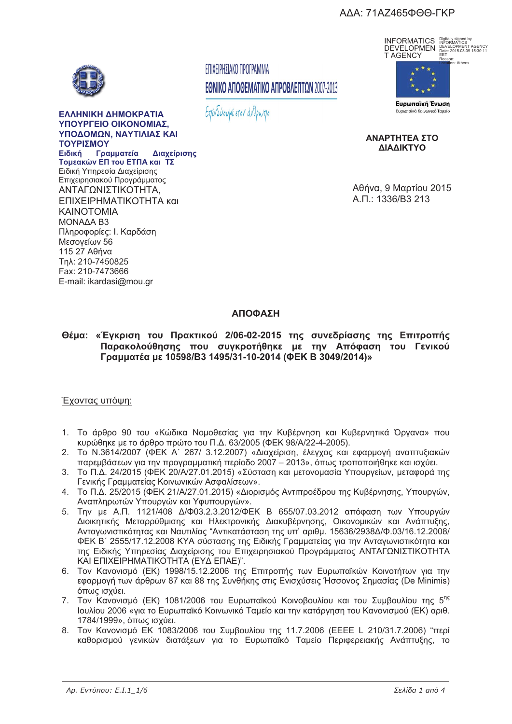### ΑΔΑ: 71ΑΖ465ΦΘΘ-ΓΚΡ



#### ΕΛΛΗΝΙΚΗ ΔΗΜΟΚΡΑΤΙΑ **ΥΠΟΥΡΓΕΙΟ ΟΙΚΟΝΟΜΙΑΣ THOAOMON NAYTIAIAS KI ,**   $\overline{\text{Im}}$ **Ειδική**

**TOURDE FOR TOU FTO A KOL TT. "#\$ - "% -** - 
  Επιχειρησιακού Προγράμματος ΑΝΤΑΓΩΝΙΣΤΙΚΟΤΗΤΑ, ΕΠΙΧΕΙΡΗΜΑΤΙΚΟΤΗΤΑ και KAINOTOMIA MONAAA B3 Πληροφορίες: Ι. Καρδάση Μεσονείων 56  $11527$   $A\theta$ nva Tn \: 210-7450825 Fax: 210-7473666 E-mail: ikardasi@mou.gr

## ΕΠΙΧΕΙΡΗΣΙΑΚΟ ΠΡΟΓΡΑΜΜΑ ΕΘΝΙΚΟ ΑΠΟΘΕΜΑΤΙΚΟ ΑΠΡΟΒΛΕΠΤΩΝ 2007-2013

Επενδύουμε στον άνθρωπο



Digitally signed by INFORMATICS DEVELOPMENT AGENCY Date: 2015.03.09 15:30:11 EET



ΑΝΑΡΤΗΤΕΑ ΣΤΟ **AIAAIKTYO** 

Αθήνα, 9 Μαρτίου 2015 A.<sub>U</sub>.: 1336/B3 213

# **&**

Θέμα: «Έγκριση του Πρακτικού 2/06-02-2015 της συνεδρίασης της Επιτροπής Παρακολούθησης που συγκροτήθηκε με την Απόφαση του Γενικού **Γραμματέα με 10598/B3 1495/31-10-2014 (ΦΕΚ Β 3049/2014)» ( 10598)** (**10598)** (**10598)** (**10598)** (**10598) 1049/2014** 

### Έχοντας υπόωη:

- 1. Το άρθρο 90 του «Κώδικα Νομοθεσίας για την Κυβέρνηση και Κυβερνητικά Όργανα» που κυρώθηκε με το άρθρο πρώτο του Π.Δ. 63/2005 (ΦΕΚ 98/A/22-4-2005).
- 2. Το Ν.3614/2007 (ΦΕΚ Α΄ 267/ 3.12.2007) «Διαχείριση, έλεγχος και εφαρμογή αναπτυξιακών παρεμβάσεων για την προγραμματική περίοδο 2007 – 2013», όπως τροποποιήθηκε και ισχύει.
- 3. Το Π.Δ. 24/2015 (ΦΕΚ 20/Α/27.01.2015) «Σύσταση και μετονομασία Υπουργείων, μεταφορά της Γενικής Γραμματείας Κοινωνικών Ασφαλίσεων».
- 4. Το Π.Δ. 25/2015 (ΦΕΚ 21/Α/27.01.2015) «Διορισμός Αντιπροέδρου της Κυβέρνησης, Υπουργών, Αναπληρωτών Υπουργών και Υφυπουργών».
- 5. Την με Α.Π. 1121/408 Δ/Φ03.2.3.2012/ΦΕΚ Β 655/07.03.2012 απόφαση των Υπουργών Διοικητικής Μεταρρύθμισης και Ηλεκτρονικής Διακυβέρνησης, Οικονομικών και Ανάπτυξης, Ανταγωνιστικότητας και Ναυτιλίας "Αντικατάσταση της υπ' αριθμ. 15636/2938Δ/Φ.03/16.12.2008/ ΦΕΚ Β΄ 2555/17.12.2008 ΚΥΑ σύστασης της Ειδικής Γραμματείας για την Ανταγωνιστικότητα και της Ειδικής Υπηρεσίας Διαχείρισης του Επιχειρησιακού Προγράμματος ΑΝΤΑΓΩΝΙΣΤΙΚΟΤΗΤΑ ΚΑΙ ΕΠΙΧΕΙΡΗΜΑΤΙΚΟΤΗΤΑ (ΕΥΔ ΕΠΑΕ)".
- 6. Τον Κανονισμό (ΕΚ) 1998/15.12.2006 της Επιτροπής των Ευρωπαϊκών Κοινοτήτων για την εφαρμογή των άρθρων 87 και 88 της Συνθήκης στις Ενισχύσεις Ήσσονος Σημασίας (De Minimis) όπως ισχύει.
- 7. Τον Κανονισμό (ΕΚ) 1081/2006 του Ευρωπαϊκού Κοινοβουλίου και του Συμβουλίου της 5<sup>ης</sup> Ιουλίου 2006 «για το Ευρωπαϊκό Κοινωνικό Ταμείο και την κατάργηση του Κανονισμού (ΕΚ) αριθ. 1784/1999», όπως ισχύει.
- 8. Τον Κανονισμό ΕΚ 1083/2006 του Συμβουλίου της 11.7.2006 (ΕΕΕΕ L 210/31.7.2006) "περί καθορισμού γενικών διατάξεων για το Ευρωπαϊκό Ταμείο Περιφερειακής Ανάπτυξης, το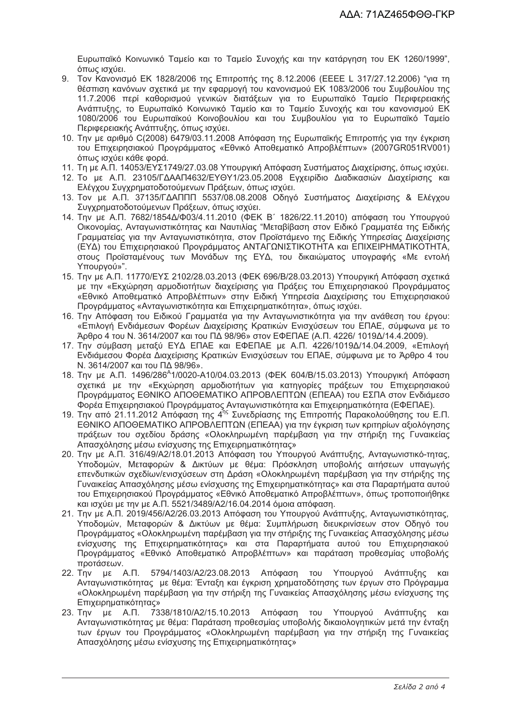Ευρωπαϊκό Κοινωνικό Ταμείο και το Ταμείο Συνοχής και την κατάργηση του ΕΚ 1260/1999", όπως ισχύει.

- 9. Τον Κανονισμό ΕΚ 1828/2006 της Επιτροπής της 8.12.2006 (ΕΕΕΕ L 317/27.12.2006) "για τη θέσπιση κανόνων σχετικά με την εφαρμογή του κανονισμού ΕΚ 1083/2006 του Συμβουλίου της 11.7.2006 περί καθορισμού γενικών διατάξεων για το Ευρωπαϊκό Ταμείο Περιφερειακής Ανάπτυξης, το Ευρωπαϊκό Κοινωνικό Ταμείο και το Ταμείο Συνοχής και του κανονισμού ΕΚ 1080/2006 του Ευρωπαϊκού Κοινοβουλίου και του Συμβουλίου για το Ευρωπαϊκό Ταμείο Περιφερειακής Ανάπτυξης, όπως ισχύει.
- 10. Την με αριθμό C(2008) 6479/03.11.2008 Απόφαση της Ευρωπαϊκής Επιτροπής για την έγκριση του Επιχειρησιακού Προγράμματος «Εθνικό Αποθεματικό Απροβλέπτων» (2007GR051RV001) όπως ισχύει κάθε φορά.
- 11. Τη με Α.Π. 14053/ΕΥΣ1749/27.03.08 Υπουργική Απόφαση Συστήματος Διαχείρισης, όπως ισχύει.
- 12. Το με Α.Π. 23105/ΓΔΑΑΠ4632/ΕΥΘΥ1/23.05.2008 Εγχειρίδιο Διαδικασιών Διαχείρισης και Ελέγχου Συγχρηματοδοτούμενων Πράξεων, όπως ισχύει.
- 13. Τον με Α.Π. 37135/ΓΔΑΠΠΠ 5537/08.08.2008 Οδηγό Συστήματος Διαχείρισης & Ελέγχου Συγχρηματοδοτούμενων Πράξεων, όπως ισχύει.
- 14. Την με Α.Π. 7682/1854Δ/Φ03/4.11.2010 (ΦΕΚ Β΄ 1826/22.11.2010) απόφαση του Υπουργού Οικονομίας, Ανταγωνιστικότητας και Ναυτιλίας "Μεταβίβαση στον Ειδικό Γραμματέα της Ειδικής Γραμματείας για την Ανταγωνιστικότητα, στον Προϊστάμενο της Ειδικής Υπηρεσίας Διαχείρισης (ΕΥΔ) του Επιχειρησιακού Προγράμματος ΑΝΤΑΓΩΝΙΣΤΙΚΟΤΗΤΑ και ΕΠΙΧΕΙΡΗΜΑΤΙΚΟΤΗΤΑ, στους Προϊσταμένους των Μονάδων της ΕΥΔ, του δικαιώματος υπογραφής «Με εντολή Yπουργού»".
- 15. Την με Α.Π. 11770/ΕΥΣ 2102/28.03.2013 (ΦΕΚ 696/Β/28.03.2013) Υπουργική Απόφαση σχετικά με την «Εκχώρηση αρμοδιοτήτων διαχείρισης για Πράξεις του Επιχειρησιακού Προγράμματος «Εθνικό Αποθεματικό Απροβλέπτων» στην Ειδική Υπηρεσία Διαχείρισης του Επιχειρησιακού Προγράμματος «Ανταγωνιστικότητα και Επιχειρηματικότητα», όπως ισχύει.
- 16. Την Απόφαση του Ειδικού Γραμματέα για την Ανταγωνιστικότητα για την ανάθεση του έργου: «Επιλογή Ενδιάμεσων Φορέων Διαχείρισης Κρατικών Ενισχύσεων του ΕΠΑΕ, σύμφωνα με το Άρθρο 4 του Ν. 3614/2007 και του ΠΔ 98/96» στον ΕΦΕΠΑΕ (Α.Π. 4226/ 1019Δ/14.4.2009).
- 17. Την σύμβαση μεταξύ ΕΥΔ ΕΠΑΕ και ΕΦΕΠΑΕ με Α.Π. 4226/1019Δ/14.04.2009, «Επιλογή Ενδιάμεσου Φορέα Διαχείρισης Κρατικών Ενισχύσεων του ΕΠΑΕ, σύμφωνα με το Άρθρο 4 του Ν. 3614/2007 και του ΠΔ 98/96».
- 18. Την με Α.Π. 1496/286<sup>A</sup>1/0020-A10/04.03.2013 (ΦΕΚ 604/Β/15.03.2013) Υπουργική Απόφαση σχετικά με την «Εκχώρηση αρμοδιοτήτων για κατηγορίες πράξεων του Επιχειρησιακού Προγράμματος ΕΘΝΙΚΟ ΑΠΟΘΕΜΑΤΙΚΟ ΑΠΡΟΒΛΕΠΤΩΝ (ΕΠΕΑΑ) του ΕΣΠΑ στον Ενδιάμεσο Φορέα Επιχειρησιακού Προγράμματος Ανταγωνιστικότητα και Επιχειρηματικότητα (ΕΦΕΠΑΕ).
- 19. Την από 21.11.2012 Απόφαση της 4<sup>ης</sup> Συνεδρίασης της Επιτροπής Παρακολούθησης του Ε.Π. ΕΘΝΙΚΟ ΑΠΟΘΕΜΑΤΙΚΟ ΑΠΡΟΒΛΕΠΤΩΝ (ΕΠΕΑΑ) για την έγκριση των κριτηρίων αξιολόγησης πράξεων του σχεδίου δράσης «Ολοκληρωμένη παρέμβαση για την στήριξη της Γυναικείας Απασχόλησης μέσω ενίσχυσης της Επιχειρηματικότητας»
- 20. Την με Α.Π. 316/49/Α2/18.01.2013 Απόφαση του Υπουργού Ανάπτυξης, Ανταγωνιστικό-τητας, Υποδομών, Μεταφορών & Δικτύων με θέμα: Πρόσκληση υποβολής αιτήσεων υπαγωγής επενδυτικών σχεδίων/ενισχύσεων στη Δράση «Ολοκληρωμένη παρέμβαση για την στήριξης της Γυναικείας Απασχόλησης μέσω ενίσχυσης της Επιχειρηματικότητας» και στα Παραρτήματα αυτού του Επιχειρησιακού Προγράμματος «Εθνικό Αποθεματικό Απροβλέπτων», όπως τροποποιήθηκε και ισχύει με την με Α.Π. 5521/3489/Α2/16.04.2014 όμοια απόφαση.
- 21. Την με Α.Π. 2019/456/Α2/26.03.2013 Απόφαση του Υπουργού Ανάπτυξης, Ανταγωνιστικότητας, Υποδομών, Μεταφορών & Δικτύων με θέμα: Συμπλήρωση διευκρινίσεων στον Οδηγό του Προγράμματος «Ολοκληρωμένη παρέμβαση για την στήριξης της Γυναικείας Απασχόλησης μέσω ενίσχυσης της Επιχειρηματικότητας» και στα Παραρτήματα αυτού του Επιχειρησιακού Προγράμματος «Εθνικό Αποθεματικό Απροβλέπτων» και παράταση προθεσμίας υποβολής προτάσεων.
- 22. Την με Α.Π. 5794/1403/Α2/23.08.2013 Απόφαση του Υπουργού Ανάπτυξης και Ανταγωνιστικότητας με θέμα: Ένταξη και έγκριση χρηματοδότησης των έργων στο Πρόγραμμα «Ολοκληρωμένη παρέμβαση για την στήριξη της Γυναικείας Απασχόλησης μέσω ενίσχυσης της Eπιχειρηματικότητας»
- 23. Την με Α.Π. 7338/1810/Α2/15.10.2013 Απόφαση του Υπουργού Ανάπτυξης και Ανταγωνιστικότητας με θέμα: Παράταση προθεσμίας υποβολής δικαιολογητικών μετά την ένταξη των έργων του Προγράμματος «Ολοκληρωμένη παρέμβαση για την στήριξη της Γυναικείας Απασχόλησης μέσω ενίσχυσης της Επιχειρηματικότητας»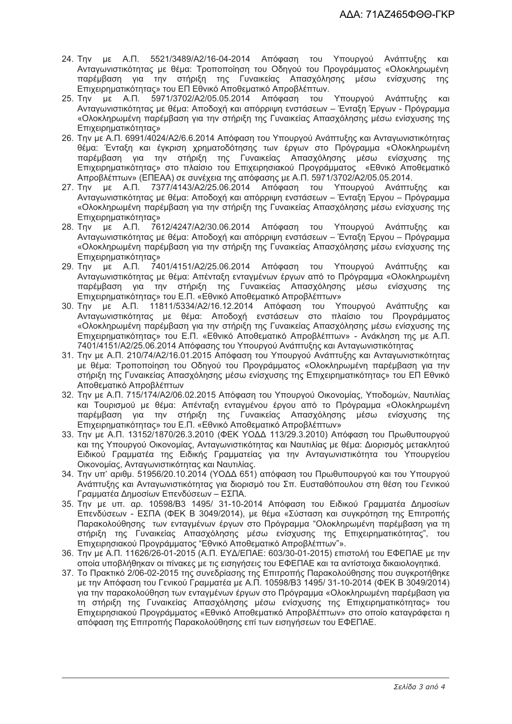- 24. Την με Α.Π. 5521/3489/A2/16-04-2014 Απόφαση του Υπουργού Ανάπτυξης  $K$  $N$ Ανταγωνιστικότητας με θέμα: Τροποποίηση του Οδηγού του Προγράμματος «Ολοκληρωμένη παρέμβαση για την στήριξη της Γυναικείας Απασχόλησης μέσω ενίσχυσης  $TnC$ Επιχειρηματικότητας» του ΕΠ Εθνικό Αποθεματικό Απροβλέπτων.
- 25. Την με Α.Π. 5971/3702/Α2/05.05.2014 Απόφαση του Υπουργού Ανάπτυξης και Ανταγωνιστικότητας με θέμα: Αποδοχή και απόρριψη ενστάσεων – Ένταξη Έργων - Πρόγραμμα «Ολοκληρωμένη παρέμβαση για την στήριξη της Γυναικείας Απασχόλησης μέσω ενίσχυσης της **Επιχειρηματικότητας»**
- 26. Την με Α.Π. 6991/4024/Α2/6.6.2014 Απόφαση του Υπουργού Ανάπτυξης και Ανταγωνιστικότητας θέμα: Ένταξη και έγκριση χρηματοδότησης των έργων στο Πρόγραμμα «Ολοκληρωμένη παρέμβαση για την στήριξη της Γυναικείας Απασχόλησης μέσω ενίσχυσης της<br>Επιχειρηματικότητας» στο πλαίσιο του Επιχειρησιακού Προγράμματος «Εθνικό Αποθεματικό Απροβλέπτων» (ΕΠΕΑΑ) σε συνέχεια της απόφασης με Α.Π. 5971/3702/Α2/05.05.2014.
- 27. Την με Α.Π. 7377/4143/Α2/25.06.2014 Απόφαση του Υπουργού Ανάπτυξης και<br>Ανταγωνιστικότητας με θέμα: Αποδοχή και απόρριψη ενστάσεων Ένταξη Έργου Πρόγραμμα «Ολοκληρωμένη παρέμβαση για την στήριξη της Γυναικείας Απασχόλησης μέσω ενίσχυσης της Επιχειρηματικότητας»
- 28. Την με Α.Π. 7612/4247/Α2/30.06.2014 Απόφαση του Υπουργού Ανάπτυξης και Ανταγωνιστικότητας με θέμα: Αποδοχή και απόρριψη ενστάσεων – Ένταξη Έργου – Πρόγραμμα «Ολοκληρωμένη παρέμβαση για την στήριξη της Γυναικείας Απασχόλησης μέσω ενίσχυσης της Επιχειρηματικότητας»
- 29. Την με Α.Π. 7401/4151/Α2/25.06.2014 Απόφαση του Υπουργού Ανάπτυξης και Ανταγωνιστικότητας με θέμα: Απένταξη ενταγμένων έργων από το Πρόγραμμα «Ολοκληρωμένη παρέμβαση για την στήριξη της Γυναικείας Απασχόλησης μέσω ενίσχυσης της Επιχειρηματικότητας» του Ε.Π. «Εθνικό Αποθεματικό Απροβλέπτων»
- 30. Την με Α.Π. 11811/5334/Α2/16.12.2014 Απόφαση του Υπουργού Ανάπτυξης και Ανταγωνιστικότητας με θέμα: Αποδοχή ενστάσεων στο πλαίσιο του Προνοάμματος «Ολοκληρωμένη παρέμβαση για την στήριξη της Γυναικείας Απασχόλησης μέσω ενίσχυσης της Επιχειρηματικότητας» του Ε.Π. «Εθνικό Αποθεματικό Απροβλέπτων» - Ανάκληση της με Α.Π. 7401/4151/A2/25.06.2014 Απόφασης του Υπουργού Ανάπτυξης και Ανταγωνιστικότητας
- 31. Την με Α.Π. 210/74/Α2/16.01.2015 Απόφαση του Υπουργού Ανάπτυξης και Ανταγωνιστικότητας με θέμα: Τροποποίηση του Οδηγού του Προγράμματος «Ολοκληρωμένη παρέμβαση για την στήριξη της Γυναικείας Απασχόλησης μέσω ενίσχυσης της Επιχειρηματικότητας» του ΕΠ Εθνικό Αποθεματικό Απροβλέπτων
- 32. Την με Α.Π. 715/174/Α2/06.02.2015 Απόφαση του Υπουργού Οικονομίας, Υποδομών, Ναυτιλίας και Τουρισμού με θέμα: Απένταξη ενταγμένου έργου από το Πρόγραμμα «Ολοκληρωμένη παρέμβαση για την στήριξη της Γυναικείας Απασχόλησης μέσω ενίσχυσης της Επιχειρηματικότητας» του Ε.Π. «Εθνικό Αποθεματικό Απροβλέπτων»
- 33. Την με Α.Π. 13152/1870/26.3.2010 (ΦΕΚ ΥΟΔΔ 113/29.3.2010) Απόφαση του Πρωθυπουργού και της Υπουργού Οικονομίας, Ανταγωνιστικότητας και Ναυτιλίας με θέμα: Διορισμός μετακλητού Ειδικού Γραμματέα της Ειδικής Γραμματείας για την Ανταγωνιστικότητα του Υπουργείου Οικονομίας, Ανταγωνιστικότητας και Ναυτιλίας.
- 34. Την υπ' αριθμ. 51956/20.10.2014 (ΥΟΔΔ 651) απόφαση του Πρωθυπουργού και του Υπουργού Ανάπτυξης και Ανταγωνιστικότητας για διορισμό του Σπ. Ευσταθόπουλου στη θέση του Γενικού Γραμματέα Δημοσίων Επενδύσεων - ΕΣΠΑ.
- 35. Την με υπ. αρ. 10598/Β3 1495/ 31-10-2014 Απόφαση του Ειδικού Γραμματέα Δημοσίων Επενδύσεων - ΕΣΠΑ (ΦΕΚ Β 3049/2014), με θέμα «Σύσταση και συνκρότηση της Επιτροπής Παρακολούθησης των εντανμένων έργων στο Πρόνραμμα "Ολοκληρωμένη παρέμβαση για τη στήριξη της Γυναικείας Απασχόλησης μέσω ενίσχυσης της Επιχειρηματικότητας", του Επιχειρησιακού Προνράμματος "Εθνικό Αποθεματικό Απροβλέπτων"».
- 36. Την με Α.Π. 11626/26-01-2015 (Α.Π. ΕΥΔ/ΕΠΑΕ: 603/30-01-2015) επιστολή του ΕΦΕΠΑΕ με την οποία υποβλήθηκαν οι πίνακες με τις εισηγήσεις του ΕΦΕΠΑΕ και τα αντίστοιχα δικαιολογητικά.
- 37. Το Πρακτικό 2/06-02-2015 της συνεδρίασης της Επιτροπής Παρακολούθησης που συγκροτήθηκε με την Απόφαση του Γενικού Γραμματέα με Α.Π. 10598/Β3 1495/31-10-2014 (ΦΕΚ Β 3049/2014) για την παρακολούθηση των ενταγμένων έργων στο Πρόγραμμα «Ολοκληρωμένη παρέμβαση για τη στήριξη της Γυναικείας Απασχόλησης μέσω ενίσχυσης της Επιχειρηματικότητας» του Επιχειρησιακού Προγράμματος «Εθνικό Αποθεματικό Απροβλέπτων» στο οποίο καταγράφεται η απόφαση της Επιτροπής Παρακολούθησης επί των εισηγήσεων του ΕΦΕΠΑΕ.